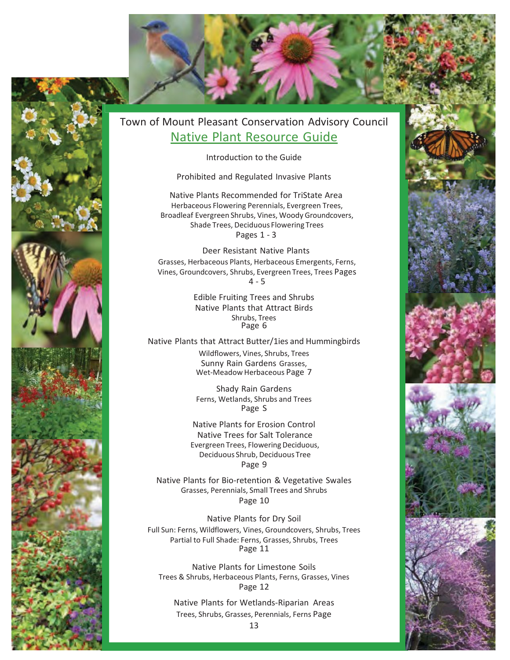

## Town of Mount Pleasant Conservation Advisory Council Native Plant Resource Guide

Introduction to the Guide

Prohibited and Regulated Invasive Plants

Native Plants Recommended for TriState Area Herbaceous Flowering Perennials, Evergreen Trees, Broadleaf Evergreen Shrubs, Vines, Woody Groundcovers, Shade Trees, Deciduous Flowering Trees Pages 1 - 3

Deer Resistant Native Plants Grasses, Herbaceous Plants, Herbaceous Emergents, Ferns, Vines, Groundcovers, Shrubs, Evergreen Trees, Trees Pages  $4 - 5$ 

> Edible Fruiting Trees and Shrubs Native Plants that Attract Birds Shrubs, Trees Page 6

Native Plants that Attract Butter/1ies and Hummingbirds

Wildflowers, Vines, Shrubs, Trees Sunny Rain Gardens Grasses, Wet-Meadow Herbaceous Page 7

Shady Rain Gardens Ferns, Wetlands, Shrubs and Trees Page S

Native Plants for Erosion Control Native Trees for Salt Tolerance Evergreen Trees, Flowering Deciduous, Deciduous Shrub, Deciduous Tree Page 9

Native Plants for Bio-retention & Vegetative Swales Grasses, Perennials, Small Trees and Shrubs Page 10

Native Plants for Dry Soil Full Sun: Ferns, Wildflowers, Vines, Groundcovers, Shrubs, Trees Partial to Full Shade: Ferns, Grasses, Shrubs, Trees Page 11

Native Plants for Limestone Soils Trees & Shrubs, Herbaceous Plants, Ferns, Grasses, Vines Page 12

Native Plants for Wetlands-Riparian Areas Trees, Shrubs, Grasses, Perennials, Ferns Page



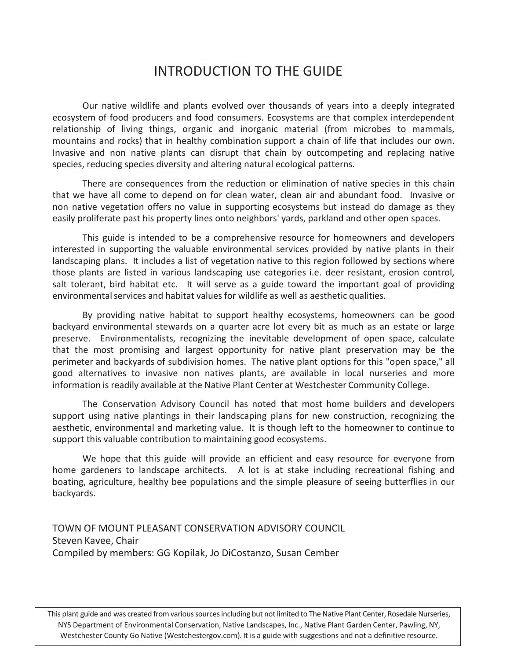# INTRODUCTION TO THE GUIDE

Our native wildlife and plants evolved over thousands of years into a deeply integrated ecosystem of food producers and food consumers. Ecosystems are that complex interdependent relationship of living things, organic and inorganic material (from microbes to mammals, mountains and rocks) that in healthy combination support a chain of life that includes our own. Invasive and non native plants can disrupt that chain by outcompeting and replacing native species, reducing species diversity and altering natural ecological patterns.

There are consequences from the reduction or elimination of native species in this chain that we have all come to depend on for clean water, clean air and abundant food. Invasive or non native vegetation offers no value in supporting ecosystems but instead do damage as they easily proliferate past his property lines onto neighbors' yards, parkland and other open spaces.

This guide is intended to be a comprehensive resource for homeowners and developers interested in supporting the valuable environmental services provided by native plants in their landscaping plans. It includes a list of vegetation native to this region followed by sections where those plants are listed in various landscaping use categories i.e. deer resistant, erosion control, salt tolerant, bird habitat etc. It will serve as a guide toward the important goal of providing environmentalservices and habitat values for wildlife as well as aesthetic qualities.

By providing native habitat to support healthy ecosystems, homeowners can be good backyard environmental stewards on a quarter acre lot every bit as much as an estate or large preserve. Environmentalists, recognizing the inevitable development of open space, calculate that the most promising and largest opportunity for native plant preservation may be the perimeter and backyards of subdivision homes. The native plant options for this "open space," all good alternatives to invasive non natives plants, are available in local nurseries and more information is readily available at the Native Plant Center at Westchester Community College.

The Conservation Advisory Council has noted that most home builders and developers support using native plantings in their landscaping plans for new construction, recognizing the aesthetic, environmental and marketing value. It is though left to the homeowner to continue to support this valuable contribution to maintaining good ecosystems.

We hope that this guide will provide an efficient and easy resource for everyone from home gardeners to landscape architects. A lot is at stake including recreational fishing and boating, agriculture, healthy bee populations and the simple pleasure of seeing butterflies in our backyards.

TOWN OF MOUNT PLEASANT CONSERVATION ADVISORY COUNCIL Steven Kavee, Chair Compiled by members: GG Kopilak, Jo DiCostanzo, Susan Cember

This plant guide and was created from various sources including but not limited to The Native Plant Center, Rosedale Nurseries, NYS Department of Environmental Conservation, Native Landscapes, Inc., Native Plant Garden Center, Pawling, NY, Westchester County Go Native (Westchestergov.com). It is a guide with suggestions and not a definitive resource.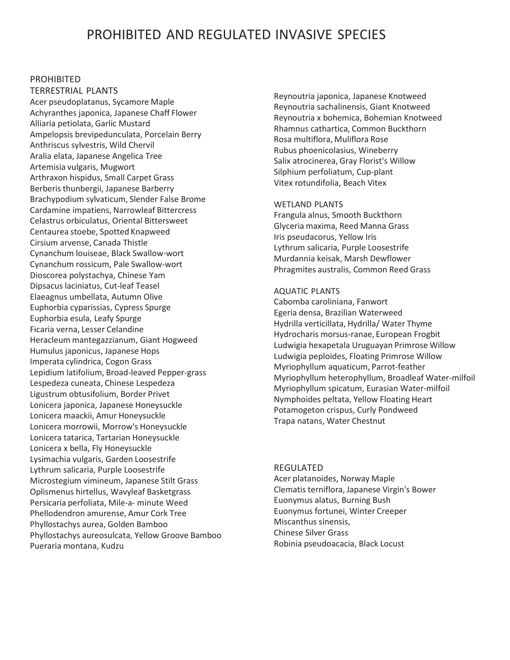## PROHIBITED AND REGULATED INVASIVE SPECIES

## PROHIBITED

TERRESTRIAL PLANTS Acer pseudoplatanus, Sycamore Maple Achyranthes japonica, Japanese Chaff Flower Alliaria petiolata, Garlic Mustard Ampelopsis brevipedunculata, Porcelain Berry Anthriscus sylvestris, Wild Chervil Aralia elata, Japanese Angelica Tree Artemisia vulgaris, Mugwort Arthraxon hispidus, Small Carpet Grass Berberis thunbergii, Japanese Barberry Brachypodium sylvaticum, Slender False Brome Cardamine impatiens, Narrowleaf Bittercress Celastrus orbiculatus, Oriental Bittersweet Centaurea stoebe, Spotted Knapweed Cirsium arvense, Canada Thistle Cynanchum louiseae, Black Swallow-wort Cynanchum rossicum, Pale Swallow-wort Dioscorea polystachya, Chinese Yam Dipsacus laciniatus, Cut-leaf Teasel Elaeagnus umbellata, Autumn Olive Euphorbia cyparissias, Cypress Spurge Euphorbia esula, Leafy Spurge Ficaria verna, Lesser Celandine Heracleum mantegazzianum, Giant Hogweed Humulus japonicus, Japanese Hops Imperata cylindrica, Cogon Grass Lepidium latifolium, Broad-leaved Pepper-grass Lespedeza cuneata, Chinese Lespedeza Ligustrum obtusifolium, Border Privet Lonicera japonica, Japanese Honeysuckle Lonicera maackii, Amur Honeysuckle Lonicera morrowii, Morrow's Honeysuckle Lonicera tatarica, Tartarian Honeysuckle Lonicera x bella, Fly Honeysuckle Lysimachia vulgaris, Garden Loosestrife Lythrum salicaria, Purple Loosestrife Microstegium vimineum, Japanese Stilt Grass Oplismenus hirtellus, Wavyleaf Basketgrass Persicaria perfoliata, Mile-a- minute Weed Phellodendron amurense, Amur Cork Tree Phyllostachys aurea, Golden Bamboo Phyllostachys aureosulcata, Yellow Groove Bamboo Pueraria montana, Kudzu

Reynoutria japonica, Japanese Knotweed Reynoutria sachalinensis, Giant Knotweed Reynoutria x bohemica, Bohemian Knotweed Rhamnus cathartica, Common Buckthorn Rosa multiflora, Muliflora Rose Rubus phoenicolasius, Wineberry Salix atrocinerea, Gray Florist's Willow Silphium perfoliatum, Cup-plant Vitex rotundifolia, Beach Vitex

#### WETLAND PLANTS

Frangula alnus, Smooth Buckthorn Glyceria maxima, Reed Manna Grass Iris pseudacorus, Yellow Iris Lythrum salicaria, Purple Loosestrife Murdannia keisak, Marsh Dewflower Phragmites australis, Common Reed Grass

### AQUATIC PLANTS

Cabomba caroliniana, Fanwort Egeria densa, Brazilian Waterweed Hydrilla verticillata, Hydrilla/ Water Thyme Hydrocharis morsus-ranae, European Frogbit Ludwigia hexapetala Uruguayan Primrose Willow Ludwigia peploides, Floating Primrose Willow Myriophyllum aquaticum, Parrot-feather Myriophyllum heterophyllum, Broadleaf Water-milfoil Myriophyllum spicatum, Eurasian Water-milfoil Nymphoides peltata, Yellow Floating Heart Potamogeton crispus, Curly Pondweed Trapa natans, Water Chestnut

## REGULATED

Acer platanoides, Norway Maple Clematisterniflora, Japanese Virgin's Bower Euonymus alatus, Burning Bush Euonymus fortunei, Winter Creeper Miscanthus sinensis, Chinese Silver Grass Robinia pseudoacacia, Black Locust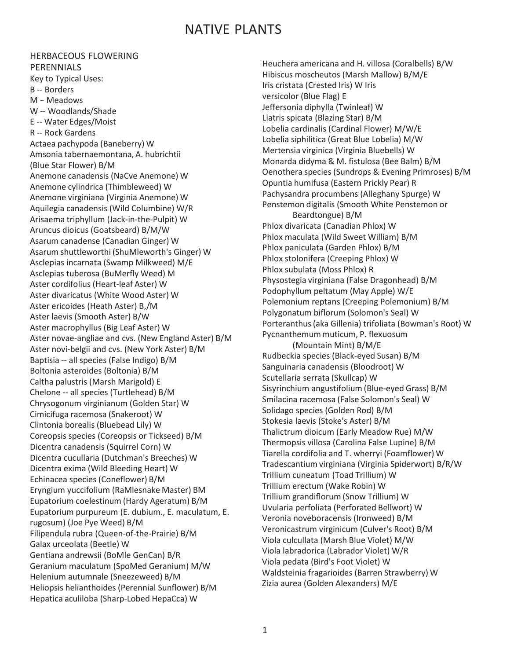# NATIVE PLANTS

### HERBACEOUS FLOWERING PERENNIALS

Key to Typical Uses: B -- Borders <sup>M</sup> - Meadows W -- Woodlands/Shade E -- Water Edges/Moist R -- Rock Gardens Actaea pachypoda (Baneberry) W Amsonia tabernaemontana, A. hubrichtii (Blue Star Flower) B/M Anemone canadensis (NaCve Anemone) W Anemone cylindrica (Thimbleweed) W Anemone virginiana (Virginia Anemone) W Aquilegia canadensis (Wild Columbine) W/R Arisaema triphyllum (Jack-in-the-Pulpit) W Aruncus dioicus (Goatsbeard) B/M/W Asarum canadense (Canadian Ginger) W Asarum shuttleworthi (ShuMleworth's Ginger) W Asclepias incarnata (Swamp Milkweed) M/E Asclepias tuberosa (BuMerfly Weed) M Aster cordifolius (Heart-leaf Aster) W Aster divaricatus (White Wood Aster) W Aster ericoides (Heath Aster) B,/M Aster laevis (Smooth Aster) B/W Aster macrophyllus (Big Leaf Aster) W Aster novae-angliae and cvs. (New England Aster) B/M Aster novi-belgii and cvs. (New York Aster) B/M Baptisia -- all species (False Indigo) B/M Boltonia asteroides (Boltonia) B/M Caltha palustris (Marsh Marigold) E Chelone -- all species (Turtlehead) B/M Chrysogonum virginianum (Golden Star) W Cimicifuga racemosa (Snakeroot) W Clintonia borealis (Bluebead Lily) W Coreopsis species (Coreopsis or Tickseed) B/M Dicentra canadensis (Squirrel Corn) W Dicentra cucullaria (Dutchman's Breeches) W Dicentra exima (Wild Bleeding Heart) W Echinacea species (Coneflower) B/M Eryngium yuccifolium (RaMlesnake Master) BM Eupatorium coelestinum (Hardy Ageratum) B/M Eupatorium purpureum (E. dubium., E. maculatum, E. rugosum) (Joe Pye Weed) B/M Filipendula rubra (Queen-of-the-Prairie) B/M Galax urceolata (Beetle) W Gentiana andrewsii (BoMle GenCan) B/R Geranium maculatum (SpoMed Geranium) M/W Helenium autumnale (Sneezeweed) B/M Heliopsis helianthoides (Perennial Sunflower) B/M Hepatica aculiloba (Sharp-Lobed HepaCca) W

Heuchera americana and H. villosa (Coralbells) B/W Hibiscus moscheutos (Marsh Mallow) B/M/E Iris cristata (Crested Iris) W Iris versicolor (Blue Flag) E Jeffersonia diphylla (Twinleaf) W Liatris spicata (Blazing Star) B/M Lobelia cardinalis (Cardinal Flower) M/W/E Lobelia siphilitica (Great Blue Lobelia) M/W Mertensia virginica (Virginia Bluebells) W Monarda didyma & M. fistulosa (Bee Balm) B/M Oenothera species (Sundrops & Evening Primroses) B/M Opuntia humifusa (Eastern Prickly Pear) R Pachysandra procumbens (Alleghany Spurge) W Penstemon digitalis (Smooth White Penstemon or Beardtongue) B/M Phlox divaricata (Canadian Phlox) W Phlox maculata (Wild Sweet William) B/M Phlox paniculata (Garden Phlox) B/M Phlox stolonifera (Creeping Phlox) W Phlox subulata (Moss Phlox) R Physostegia virginiana (False Dragonhead) B/M Podophyllum peltatum (May Apple) W/E Polemonium reptans (Creeping Polemonium) B/M Polygonatum biflorum (Solomon's Seal) W Porteranthus(aka Gillenia) trifoliata (Bowman's Root) W Pycnanthemum muticum, P. flexuosum (Mountain Mint) B/M/E Rudbeckia species (Black-eyed Susan) B/M Sanguinaria canadensis (Bloodroot) W Scutellaria serrata (Skullcap) W Sisyrinchium angustifolium (Blue-eyed Grass) B/M Smilacina racemosa (False Solomon's Seal) W Solidago species (Golden Rod) B/M Stokesia laevis (Stoke's Aster) B/M Thalictrum dioicum (Early Meadow Rue) M/W Thermopsis villosa (Carolina False Lupine) B/M Tiarella cordifolia and T. wherryi (Foamflower) W Tradescantium virginiana (Virginia Spiderwort) B/R/W Trillium cuneatum (Toad Trillium) W Trillium erectum (Wake Robin) W Trillium grandiflorum (Snow Trillium) W Uvularia perfoliata (Perforated Bellwort) W Veronia noveboracensis (Ironweed) B/M Veronicastrum virginicum (Culver's Root) B/M Viola culcullata (Marsh Blue Violet) M/W Viola labradorica (Labrador Violet) W/R Viola pedata (Bird's Foot Violet) W Waldsteinia fragarioides (Barren Strawberry) W Zizia aurea (Golden Alexanders) M/E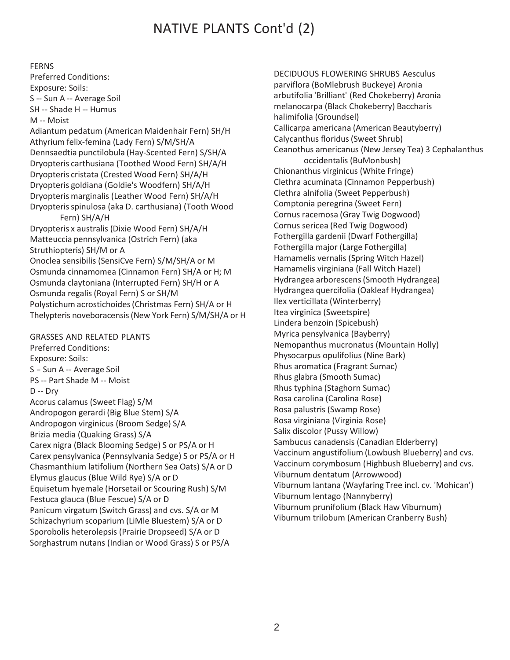# NATIVE PLANTS Cont'd (2)

### FERNS

Preferred Conditions: Exposure: Soils: S -- Sun A -- Average Soil SH -- Shade H -- Humus M -- Moist

Adiantum pedatum (American Maidenhair Fern) SH/H Athyrium felix-femina (Lady Fern) S/M/SH/A Dennsaedtia punctilobula (Hay-Scented Fern) S/SH/A Dryopteris carthusiana (Toothed Wood Fern) SH/A/H Dryopteris cristata (Crested Wood Fern) SH/A/H Dryopteris goldiana (Goldie's Woodfern) SH/A/H Dryopteris marginalis (Leather Wood Fern) SH/A/H Dryopterisspinulosa (aka D. carthusiana) (Tooth Wood Fern) SH/A/H Dryopteris x australis (Dixie Wood Fern) SH/A/H Matteuccia pennsylvanica (Ostrich Fern) (aka Struthiopteris) SH/M or A Onoclea sensibilis (SensiCve Fern) S/M/SH/A or M Osmunda cinnamomea (Cinnamon Fern) SH/A or H; M

Osmunda claytoniana (Interrupted Fern) SH/H or A Osmunda regalis (Royal Fern) S or SH/M Polystichum acrostichoides(Christmas Fern) SH/A or H Thelypteris noveboracensis(New York Fern) S/M/SH/A or H

## GRASSES AND RELATED PLANTS

Preferred Conditions: Exposure: Soils: <sup>S</sup> - Sun <sup>A</sup> -- Average Soil PS -- Part Shade M -- Moist D -- Dry Acorus calamus (Sweet Flag) S/M Andropogon gerardi (Big Blue Stem) S/A Andropogon virginicus (Broom Sedge) S/A Brizia media (Quaking Grass) S/A Carex nigra (Black Blooming Sedge) S or PS/A or H Carex pensylvanica (Pennsylvania Sedge) S or PS/A or H Chasmanthium latifolium (Northern Sea Oats) S/A or D Elymus glaucus (Blue Wild Rye) S/A or D Equisetum hyemale (Horsetail or Scouring Rush) S/M Festuca glauca (Blue Fescue) S/A or D Panicum virgatum (Switch Grass) and cvs. S/A or M Schizachyrium scoparium (LiMle Bluestem) S/A or D Sporobolis heterolepsis (Prairie Dropseed) S/A or D Sorghastrum nutans (Indian or Wood Grass) S or PS/A

DECIDUOUS FLOWERING SHRUBS Aesculus parviflora (BoMlebrush Buckeye) Aronia arbutifolia 'Brilliant' (Red Chokeberry) Aronia melanocarpa (Black Chokeberry) Baccharis halimifolia (Groundsel) Callicarpa americana (American Beautyberry) Calycanthus floridus(Sweet Shrub) Ceanothus americanus (New Jersey Tea) 3 Cephalanthus occidentalis (BuMonbush) Chionanthus virginicus (White Fringe) Clethra acuminata (Cinnamon Pepperbush) Clethra alnifolia (Sweet Pepperbush) Comptonia peregrina (Sweet Fern) Cornus racemosa (Gray Twig Dogwood) Cornus sericea (Red Twig Dogwood) Fothergilla gardenii (Dwarf Fothergilla) Fothergilla major (Large Fothergilla) Hamamelis vernalis (Spring Witch Hazel) Hamamelis virginiana (Fall Witch Hazel) Hydrangea arborescens(Smooth Hydrangea) Hydrangea quercifolia (Oakleaf Hydrangea) Ilex verticillata (Winterberry) Itea virginica (Sweetspire) Lindera benzoin (Spicebush) Myrica pensylvanica (Bayberry) Nemopanthus mucronatus (Mountain Holly) Physocarpus opulifolius (Nine Bark) Rhus aromatica (Fragrant Sumac) Rhus glabra (Smooth Sumac) Rhus typhina (Staghorn Sumac) Rosa carolina (Carolina Rose) Rosa palustris (Swamp Rose) Rosa virginiana (Virginia Rose) Salix discolor (Pussy Willow) Sambucus canadensis (Canadian Elderberry) Vaccinum angustifolium (Lowbush Blueberry) and cvs. Vaccinum corymbosum (Highbush Blueberry) and cvs. Viburnum dentatum (Arrowwood) Viburnum lantana (Wayfaring Tree incl. cv. 'Mohican') Viburnum lentago (Nannyberry) Viburnum prunifolium (Black Haw Viburnum) Viburnum trilobum (American Cranberry Bush)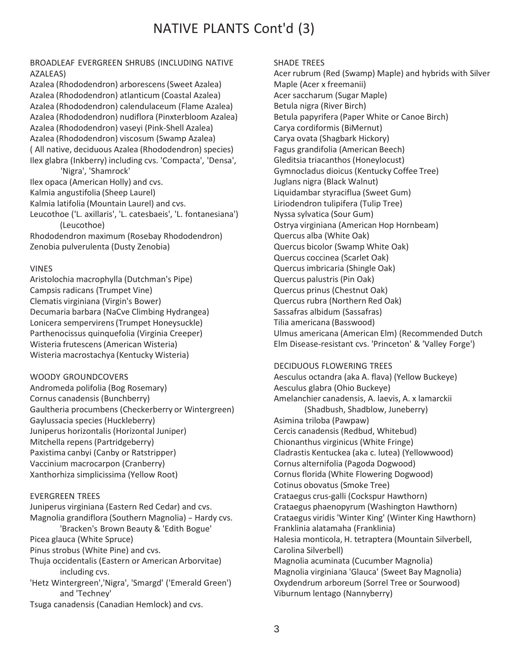# NATIVE PLANTS Cont'd (3)

## BROADLEAF EVERGREEN SHRUBS (INCLUDING NATIVE AZALEAS)

Azalea (Rhododendron) arborescens(Sweet Azalea) Azalea (Rhododendron) atlanticum (Coastal Azalea) Azalea (Rhododendron) calendulaceum (Flame Azalea) Azalea (Rhododendron) nudiflora (Pinxterbloom Azalea) Azalea (Rhododendron) vaseyi (Pink-Shell Azalea) Azalea (Rhododendron) viscosum (Swamp Azalea) ( All native, deciduous Azalea (Rhododendron) species) Ilex glabra (Inkberry) including cvs. 'Compacta', 'Densa',

'Nigra', 'Shamrock' Ilex opaca (American Holly) and cvs. Kalmia angustifolia (Sheep Laurel) Kalmia latifolia (Mountain Laurel) and cvs. Leucothoe ('L. axillaris', 'L. catesbaeis', 'L. fontanesiana') (Leucothoe) Rhododendron maximum (Rosebay Rhododendron) Zenobia pulverulenta (Dusty Zenobia)

#### VINES

Aristolochia macrophylla (Dutchman's Pipe) Campsis radicans (Trumpet Vine) Clematis virginiana (Virgin's Bower) Decumaria barbara (NaCve Climbing Hydrangea) Lonicera sempervirens(Trumpet Honeysuckle) Parthenocissus quinquefolia (Virginia Creeper) Wisteria frutescens(American Wisteria) Wisteria macrostachya (Kentucky Wisteria)

#### WOODY GROUNDCOVERS

Andromeda polifolia (Bog Rosemary) Cornus canadensis (Bunchberry) Gaultheria procumbens (Checkerberry or Wintergreen) Gaylussacia species (Huckleberry) Juniperus horizontalis (Horizontal Juniper) Mitchella repens (Partridgeberry) Paxistima canbyi (Canby or Ratstripper) Vaccinium macrocarpon (Cranberry) Xanthorhiza simplicissima (Yellow Root)

## EVERGREEN TREES

Juniperus virginiana (Eastern Red Cedar) and cvs. Magnolia grandiflora (Southern Magnolia) - Hardy cvs. 'Bracken's Brown Beauty & 'Edith Bogue' Picea glauca (White Spruce) Pinus strobus (White Pine) and cvs. Thuja occidentalis (Eastern or American Arborvitae) including cvs. 'Hetz Wintergreen','Nigra', 'Smargd' ('Emerald Green') and 'Techney' Tsuga canadensis (Canadian Hemlock) and cvs.

### SHADE TREES

Acer rubrum (Red (Swamp) Maple) and hybrids with Silver Maple (Acer x freemanii) Acer saccharum (Sugar Maple) Betula nigra (River Birch) Betula papyrifera (Paper White or Canoe Birch) Carya cordiformis (BiMernut) Carya ovata (Shagbark Hickory) Fagus grandifolia (American Beech) Gleditsia triacanthos (Honeylocust) Gymnocladus dioicus (Kentucky Coffee Tree) Juglans nigra (Black Walnut) Liquidambar styraciflua (Sweet Gum) Liriodendron tulipifera (Tulip Tree) Nyssa sylvatica (Sour Gum) Ostrya virginiana (American Hop Hornbeam) Quercus alba (White Oak) Quercus bicolor (Swamp White Oak) Quercus coccinea (Scarlet Oak) Quercusimbricaria (Shingle Oak) Quercus palustris (Pin Oak) Quercus prinus (Chestnut Oak) Quercus rubra (Northern Red Oak) Sassafras albidum (Sassafras) Tilia americana (Basswood) Ulmus americana (American Elm) (Recommended Dutch Elm Disease-resistant cvs. 'Princeton' & 'Valley Forge')

## DECIDUOUS FLOWERING TREES

Aesculus octandra (aka A. flava) (Yellow Buckeye) Aesculus glabra (Ohio Buckeye) Amelanchier canadensis, A. laevis, A. x lamarckii (Shadbush, Shadblow, Juneberry) Asimina triloba (Pawpaw) Cercis canadensis (Redbud, Whitebud) Chionanthus virginicus (White Fringe) Cladrastis Kentuckea (aka c. lutea) (Yellowwood) Cornus alternifolia (Pagoda Dogwood) Cornus florida (White Flowering Dogwood) Cotinus obovatus (Smoke Tree) Crataegus crus-galli (Cockspur Hawthorn) Crataegus phaenopyrum (Washington Hawthorn) Crataegus viridis 'Winter King' (Winter King Hawthorn) Franklinia alatamaha (Franklinia) Halesia monticola, H. tetraptera (Mountain Silverbell, Carolina Silverbell) Magnolia acuminata (Cucumber Magnolia) Magnolia virginiana 'Glauca' (Sweet Bay Magnolia) Oxydendrum arboreum (Sorrel Tree or Sourwood) Viburnum lentago (Nannyberry)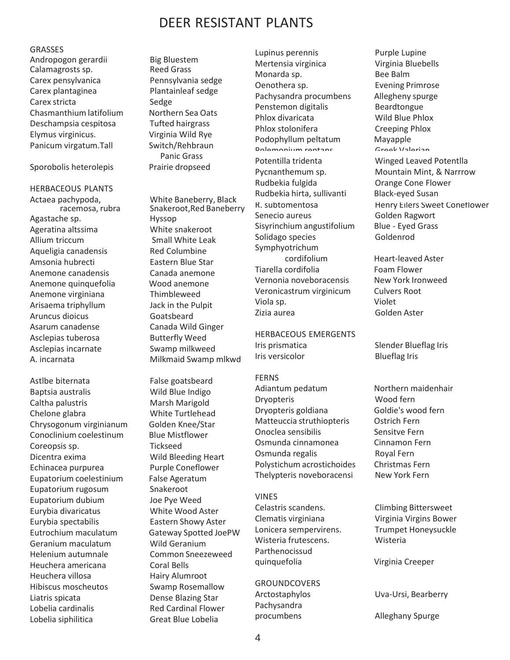# DEER RESISTANT PLANTS

#### GRASSES

Andropogon gerardii Big Bluestem Calamagrosts sp. Reed Grass Carex pensylvanica Pennsylvania sedge Carex plantaginea Plantainleaf sedge Carex stricta Sedge Chasmanthium latifolium Northern Sea Oats Deschampsia cespitosa Tufted hairgrass Elymus virginicus. Virginia Wild Rye Panicum virgatum.Tall Switch/Rehbraun

Sporobolis heterolepis Prairie dropseed

Agastache sp. Hyssop Ageratina altssima White snakeroot Allium triccum Small White Leak Aqueligia canadensis Red Columbine Amsonia hubrecti Eastern Blue Star Anemone canadensis Canada anemone Anemone quinquefolia Wood anemone Arisaema triphyllum Jack in the Pulpit Aruncus dioicus Goatsbeard Asarum canadense Canada Wild Ginger Asclepias tuberosa Butterfly Weed Asclepias incarnate Swamp milkweed HERBACEOUS PLANTS Anemone virginiana Thimbleweed

Astlbe biternata False goatsbeard Baptsia australis Wild Blue Indigo Caltha palustris Marsh Marigold Chelone glabra White Turtlehead Coreopsis sp. Tickseed Dicentra exima Wild Bleeding Heart Echinacea purpurea Purple Coneflower Eupatorium rugosum Snakeroot Eupatorium dubium Joe Pye Weed Eurybia divaricatus White Wood Aster Eurybia spectabilis Eastern Showy Aster Geranium maculatum Wild Geranium Helenium autumnale Common Sneezeweed Heuchera americana Coral Bells Heuchera villosa Hairy Alumroot Hibiscus moscheutos Swamp Rosemallow Liatris spicata Dense Blazing Star Lobelia cardinalis Red Cardinal Flower Lobelia siphilitica Great Blue Lobelia Chrysogonum virginianum Golden Knee/Star Conoclinium coelestinum Blue Mistflower Eupatorium coelestinium False Ageratum Eutrochium maculatum Gateway Spotted JoePW Lonicera sempervirens. Trumpet Honeysuckle<br>Caranium maculatum Mild Caranium Wisteria frutescens. Wisteria

Panic Grass

Actaea pachypoda, White Baneberry, Black Snakeroot, Red Baneberry A. incarnata Milkmaid Swamp mlkwd

Mertensia virginica Virginia Bluebells Monarda sp. 6. Bee Balm Oenothera sp. Evening Primrose Penstemon digitalis Beardtongue Phlox divaricata Wild Blue Phlox Phlox stolonifera Creeping Phlox Podophyllum peltatum Mayapple<br>Polemonium rentans Greek Valerian Dolemonium rentanc Potentilla tridenta Winged Leaved Potentlla Rudbekia fulgida Orange Cone Flower Rudbekia hirta, sullivanti Black-eyed Susan Senecio aureus Golden Ragwort Sisyrinchium angustifolium Blue - Eyed Grass Solidago species Goldenrod Symphyotrichum Pachysandra procumbens Allegheny spurge cordifolium Heart-leaved Aster Tiarella cordifolia Foam Flower Vernonia noveboracensis New York Ironweed Veronicastrum virginicum Culvers Root Viola sp. Violet Zizia aurea Golden Aster

HERBACEOUS EMERGENTS Iris prismatica Slender Blueflag Iris Iris versicolor Blueflag Iris

FERNS Adiantum pedatum Northern maidenhair Dryopteris Wood fern Dryopteris goldiana Goldie's wood fern Matteuccia struthiopteris **Ostrich Fern** Onoclea sensibilis **Sensitve Fern** Osmunda cinnamonea Cinnamon Fern Osmunda regalis Royal Fern Polystichum acrostichoides Christmas Fern Thelypteris noveboracensi New York Fern

## VINES

Celastris scandens. Climbing Bittersweet Clematis virginiana Virginia Virgins Bower Wisteria frutescens. Parthenocissud quinquefolia Virginia Creeper

## **GROUNDCOVERS**

Pachysandra

Lupinus perennis Purple Lupine Pycnanthemum sp. Mountain Mint, & Narrrow R. subtomentosa Henry Eilers Sweet Coneflower

Arctostaphylos Uva-Ursi, Bearberry

procumbens Alleghany Spurge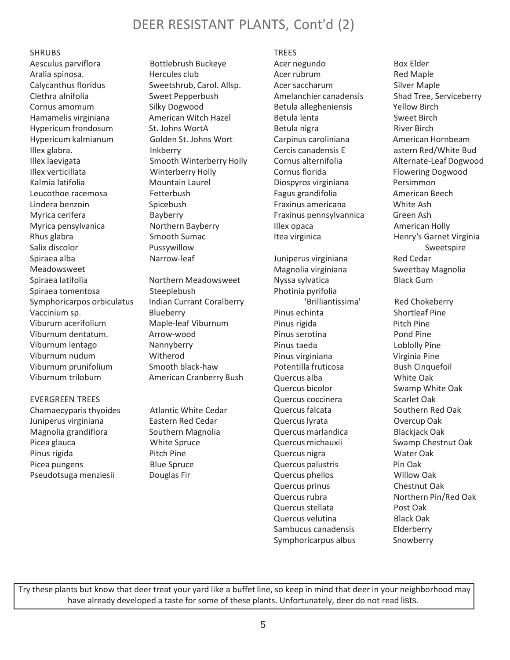# DEER RESISTANT PLANTS, Cont'd (2)

### SHRUBS

Aesculus parviflora Bottlebrush Buckeye Aralia spinosa. 
Hercules club Calycanthus floridus Sweetshrub, Carol. Allsp. Clethra alnifolia Sweet Pepperbush Cornus amomum Silky Dogwood Hamamelis virginiana American Witch Hazel Hypericum frondosum<br>
St. Johns WortA Hypericum kalmianum Golden St. Johns Wort Illex glabra. Inkberry Illex laevigata Smooth Winterberry Holly Illex verticillata Winterberry Holly Kalmia latifolia **Mountain Laurel** Leucothoe racemosa Fetterbush Lindera benzoin Spicebush Myrica cerifera Bayberry Myrica pensylvanica Morthern Bayberry Rhus glabra Smooth Sumac Salix discolor **Pussywillow** Spiraea alba Narrow-leaf Meadowsweet Spiraea latifolia Morthern Meadowsweet Spiraea tomentosa Steeplebush Symphoricarpos orbiculatus Indian Currant Coralberry Vaccinium sp. Blueberry Viburum acerifolium Maple-leaf Viburnum Viburnum dentatum. Arrow-wood Viburnum lentago Mannyberry Viburnum nudum Witherod Viburnum prunifolium Smooth black-haw Viburnum trilobum American Cranberry Bush

EVERGREEN TREES Chamaecyparis thyoides Atlantic White Cedar Juniperus virginiana **Eastern Red Cedar** Magnolia grandiflora Southern Magnolia Picea glauca **White Spruce** Pinus rigida Pitch Pine Picea pungens Blue Spruce Pseudotsuga menziesii Douglas Fir

## TREES

Acer negundo Box Elder Acer rubrum Red Maple Acer saccharum Silver Maple Amelanchier canadensis Shad Tree, Serviceberry Betula allegheniensis Yellow Birch Betula lenta<br>
Sweet Birch Betula nigra **River Birch** Carpinus caroliniana American Hornbeam Cercis canadensis E astern Red/White Bud Cornus alternifolia Alternate-Leaf Dogwood Cornus florida Flowering Dogwood Diospyros virginiana Persimmon Fagus grandifolia American Beech Fraxinus americana White Ash Fraxinus pennsylvannica Green Ash Illex opaca **American Holly** 

Juniperus virginiana Red Cedar Magnolia virginiana Sweetbay Magnolia Nyssa sylvatica Black Gum Photinia pyrifolia 'Brilliantissima' Red Chokeberry Pinus echinta Shortleaf Pine Pinus rigida Pitch Pine Pinus serotina **Pond Pine** Pinus taeda Loblolly Pine Pinus virginiana Virginia Pine Potentilla fruticosa Bush Cinquefoil Quercus alba White Oak Quercus bicolor Swamp White Oak Quercus coccinera Scarlet Oak Quercus falcata Southern Red Oak Quercuslyrata Overcup Oak Quercus marlandica Blackjack Oak Quercus michauxii Swamp Chestnut Oak Quercus nigra Water Oak Quercus palustris Pin Oak Quercus phellos Willow Oak Quercus prinus Chestnut Oak Quercusrubra Northern Pin/Red Oak Quercus stellata Post Oak Quercus velutina Black Oak Sambucus canadensis Elderberry Symphoricarpus albus Snowberry

Itea virginica **Henry's Garnet Virginia** Sweetspire

Try these plants but know that deer treat your yard like a buffet line, so keep in mind that deer in your neighborhood may have already developed a taste for some of these plants. Unfortunately, deer do not read lists.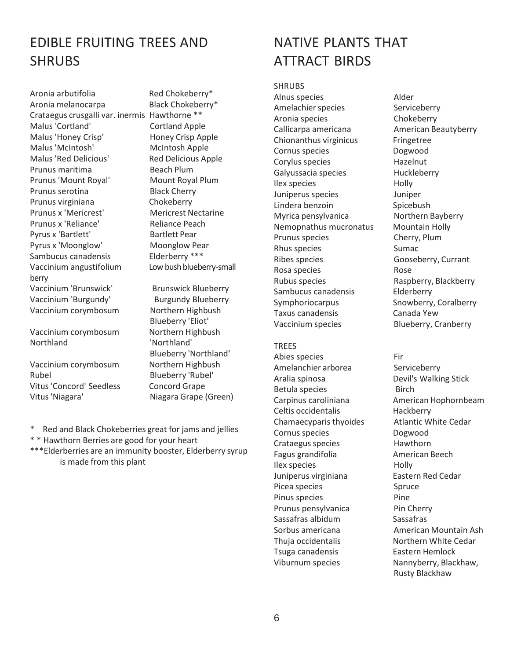# EDIBLE FRUITING TREES AND **SHRUBS**

Aronia arbutifolia Red Chokeberry\* Aronia melanocarpa Black Chokeberry\* Crataegus crusgalli var. inermis Hawthorne \*\* Malus 'Cortland' Cortland Apple Malus 'Honey Crisp' Honey Crisp Apple Malus 'McIntosh' McIntosh Apple Malus 'Red Delicious' Red Delicious Apple Prunus maritima Beach Plum Prunus 'Mount Royal' Mount Royal Plum Prunus serotina Black Cherry Prunus virginiana Chokeberry Prunus x 'Mericrest' Mericrest Nectarine Prunus x 'Reliance' Reliance Peach Pyrus x 'Bartlett' Bartlett Pear Pyrus x 'Moonglow' Moonglow Pear Sambucus canadensis Elderberry \*\*\* Vaccinium angustifolium Low bush blueberry-small berry Vaccinium 'Brunswick' Brunswick Blueberry Vaccinium 'Burgundy' Burgundy Blueberry Vaccinium corymbosum Northern Highbush

Vaccinium corymbosum Northern Highbush Northland 'Northland'

Vaccinium corymbosum Northern Highbush Rubel Blueberry 'Rubel' Vitus 'Concord' Seedless Concord Grape Vitus 'Niagara' Niagara Grape (Green)

Blueberry 'Eliot' Blueberry 'Northland'

- \* Red and Black Chokeberries great for jams and jellies
- \* \* Hawthorn Berries are good for your heart
- \*\*\*Elderberries are an immunity booster, Elderberry syrup is made from this plant

# NATIVE PLANTS THAT ATTRACT BIRDS

### SHRUBS

Alnus species Alder Amelachier species Serviceberry Aronia species Chokeberry Callicarpa americana **American Beautyberry** Chionanthus virginicus Fringetree Cornus species **Dogwood** Corylus species hazelnut Galyussacia species **Huckleberry** Ilex species Holly Juniperus species Juniper Lindera benzoin Spicebush Myrica pensylvanica Northern Bayberry Nemopnathus mucronatus Mountain Holly Prunus species Cherry, Plum Rhus species Sumac Ribes species Gooseberry, Currant Rosa species **Rose** Rubus species **Raspberry, Blackberry** Sambucus canadensis Elderberry Symphoriocarpus Snowberry, Coralberry Taxus canadensis Canada Yew

## TREES

Abies species Fir Amelanchier arborea Serviceberry Aralia spinosa **Devil's Walking Stick** Betula species **Birch** Celtis occidentalis hackberry Chamaecyparis thyoides Atlantic White Cedar Cornus species Dogwood Crataegus species Hawthorn Fagus grandifolia American Beech Ilex species and Holly Juniperus virginiana **Eastern Red Cedar** Picea species Spruce Pinus species **Pine** Prunus pensylvanica Pin Cherry Sassafras albidum Sassafras Sorbus americana **American Mountain Ash** Thuja occidentalis Northern White Cedar Tsuga canadensis Eastern Hemlock Viburnum species Nannyberry, Blackhaw,

Vaccinium species Blueberry, Cranberry

Carpinus caroliniana American Hophornbeam Rusty Blackhaw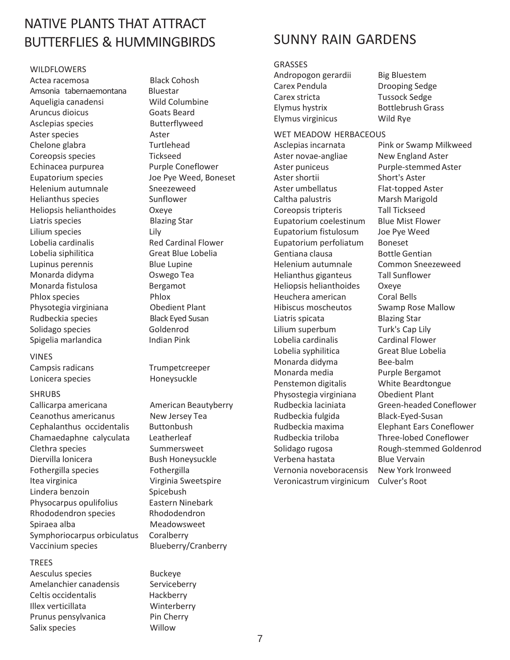# NATIVE PLANTS THAT ATTRACT BUTTERFLIES & HUMMINGBIRDS

## WILDFLOWERS Actea racemosa Black Cohosh Amsonia tabernaemontana Bluestar Aqueligia canadensi Wild Columbine Aruncus dioicus Goats Beard Asclepias species Butterflyweed Aster species Aster Chelone glabra Turtlehead Coreopsis species Tickseed Echinacea purpurea Purple Coneflower Eupatorium species Joe Pye Weed, Boneset Helenium autumnale Sneezeweed Helianthus species Sunflower Heliopsis helianthoides Oxeye Liatris species Blazing Star Lilium species Lily Lobelia cardinalis Red Cardinal Flower Lobelia siphilitica Great Blue Lobelia Lupinus perennis **Blue Lupine** Monarda didyma Oswego Tea Monarda fistulosa Bergamot Phlox species<br>
Physotegia virginiana<br>
Physotegia virginiana<br>
Obedient Plant Physotegia virginiana Rudbeckia species Black Eyed Susan Solidago species Goldenrod Spigelia marlandica **Indian Pink**

### VINES

Lonicera species honeysuckle

#### SHRUBS

Callicarpa americana American Beautyberry Ceanothus americanus New Jersey Tea Cephalanthus occidentalis Buttonbush Chamaedaphne calyculata Leatherleaf Clethra species Summersweet Diervilla lonicera Bush Honeysuckle Fothergilla species Fothergilla Itea virginica Virginia Sweetspire Lindera benzoin Spicebush Physocarpus opulifolius Eastern Ninebark Rhododendron species Rhododendron Spiraea alba Meadowsweet Symphoriocarpus orbiculatus Coralberry Vaccinium species Blueberry/Cranberry

#### TREES

Aesculus species Buckeye Amelanchier canadensis Serviceberry Celtis occidentalis Hackberry Illex verticillata Winterberry Prunus pensylvanica Pin Cherry Salix species **Willow** 

Campsis radicans Trumpetcreeper

# SUNNY RAIN GARDENS

### GRASSES

```
Andropogon gerardii Big Bluestem
Carex Pendula Drooping Sedge
Carex stricta Tussock Sedge
Elymus hystrix Bottlebrush Grass
Elymus virginicus Wild Rye
```
#### WET MEADOW HERBACEOUS

Aster novae-angliae Mew England Aster Aster puniceus **Purple-stemmed Aster** Aster shortii Short's Aster Aster umbellatus Flat-topped Aster Caltha palustris Marsh Marigold Coreopsis tripteris Tall Tickseed Eupatorium coelestinum Blue Mist Flower Eupatorium fistulosum Joe Pye Weed Eupatorium perfoliatum Boneset Gentiana clausa Bottle Gentian Helenium autumnale Common Sneezeweed Helianthus giganteus Tall Sunflower Heliopsis helianthoides Oxeye Heuchera american Coral Bells Hibiscus moscheutos Swamp Rose Mallow Liatris spicata Blazing Star Lilium superbum Turk's Cap Lily Lobelia cardinalis Cardinal Flower Lobelia syphilitica Great Blue Lobelia Monarda didyma Bee-balm Monarda media Purple Bergamot Penstemon digitalis White Beardtongue Physostegia virginiana Obedient Plant Rudbeckia fulgida Black-Eyed-Susan Rudbeckia triloba Three-lobed Coneflower Verbena hastata Blue Vervain Vernonia noveboracensis New York Ironweed Veronicastrum virginicum Culver's Root

Asclepias incarnata Pink or Swamp Milkweed Rudbeckia laciniata Green-headed Coneflower Rudbeckia maxima Elephant Ears Coneflower Solidago rugosa Rough-stemmed Goldenrod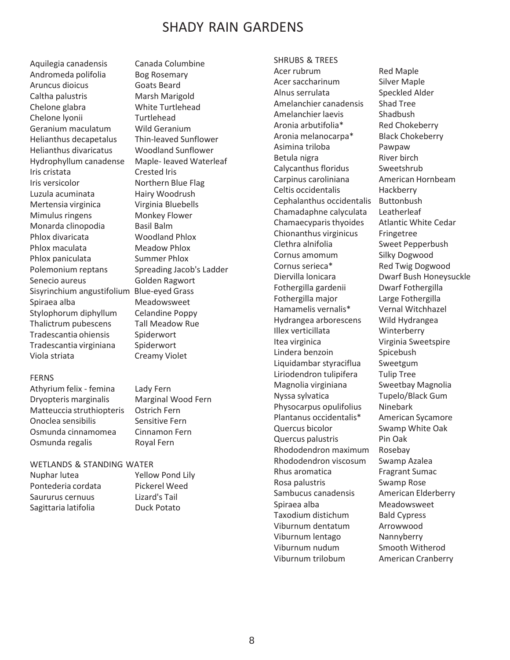# SHADY RAIN GARDENS

Aquilegia canadensis Canada Columbine Andromeda polifolia Bog Rosemary Aruncus dioicus Goats Beard Caltha palustris Marsh Marigold Chelone glabra White Turtlehead Chelone lyonii Turtlehead Geranium maculatum Wild Geranium Helianthus decapetalus Thin-leaved Sunflower Helianthus divaricatus Woodland Sunflower Hydrophyllum canadense Maple- leaved Waterleaf Iris cristata Crested Iris Iris versicolor **Northern Blue Flag** Luzula acuminata Hairy Woodrush Mertensia virginica Virginia Bluebells Mimulus ringens Monkey Flower Monarda clinopodia Basil Balm Phlox divaricata Woodland Phlox Phlox maculata Meadow Phlox Phlox paniculata Summer Phlox Polemonium reptans Spreading Jacob's Ladder Senecio aureus Golden Ragwort Sisyrinchium angustifolium Blue-eyed Grass Spiraea alba Meadowsweet Stylophorum diphyllum Celandine Poppy Thalictrum pubescens Tall Meadow Rue Tradescantia ohiensis Spiderwort Tradescantia virginiana Spiderwort Viola striata Creamy Violet

#### FERNS

Athyrium felix - femina Lady Fern Dryopteris marginalis Marginal Wood Fern Matteuccia struthiopteris Ostrich Fern Onoclea sensibilis Sensitive Fern Osmunda cinnamomea Cinnamon Fern Osmunda regalis Royal Fern

#### WETLANDS & STANDING WATER

Nuphar lutea Yellow Pond Lily Pontederia cordata Pickerel Weed Saururus cernuus Lizard's Tail Sagittaria latifolia **Duck Potato** 

## SHRUBS & TREES

Acer rubrum Red Maple Acer saccharinum Silver Maple Alnus serrulata Speckled Alder Amelanchier canadensis Shad Tree Amelanchier laevis Shadbush Aronia arbutifolia\* Red Chokeberry Aronia melanocarpa\* Black Chokeberry Asimina triloba Pawpaw Betula nigra River birch Calycanthus floridus Sweetshrub Carpinus caroliniana American Hornbeam Celtis occidentalis Hackberry Cephalanthus occidentalis Buttonbush Chamadaphne calyculata Leatherleaf Chamaecyparisthyoides Atlantic White Cedar Chionanthus virginicus Fringetree Clethra alnifolia Sweet Pepperbush Cornus amomum Silky Dogwood Cornus serieca\* Red Twig Dogwood Diervilla lonicara Dwarf Bush Honeysuckle Fothergilla gardenii Dwarf Fothergilla Fothergilla major Large Fothergilla Hamamelis vernalis\* Vernal Witchhazel Hydrangea arborescens Wild Hydrangea Illex verticillata Winterberry Itea virginica Virginia Sweetspire Lindera benzoin Spicebush Liquidambar styraciflua Sweetgum Liriodendron tulipifera Tulip Tree Magnolia virginiana Sweetbay Magnolia Nyssa sylvatica Tupelo/Black Gum Physocarpus opulifolius Ninebark Plantanus occidentalis\* American Sycamore Quercus bicolor Swamp White Oak Quercus palustris Pin Oak Rhododendron maximum Rosebay Rhododendron viscosum Swamp Azalea Rhus aromatica Fragrant Sumac Rosa palustris Swamp Rose Sambucus canadensis American Elderberry Spiraea alba Meadowsweet Taxodium distichum Bald Cypress Viburnum dentatum Arrowwood Viburnum lentago Nannyberry Viburnum nudum Smooth Witherod Viburnum trilobum American Cranberry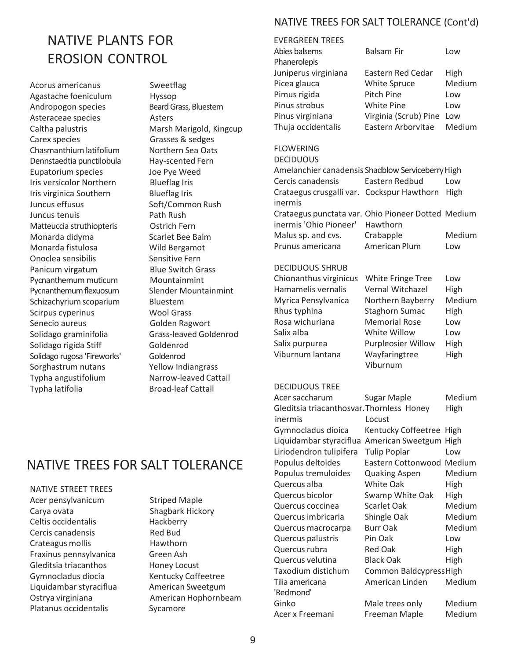# NATIVE PLANTS FOR **EROSION CONTROL**

Acorus americanus **Sweetflag** Agastache foeniculum Hyssop Andropogon species Beard Grass, Bluestem Asteraceae species **Asters** Caltha palustris Marsh Marigold, Kingcup Carex species Grasses & sedges Chasmanthium latifolium Northern Sea Oats Dennstaedtia punctilobula Hay-scented Fern Eupatorium species Joe Pye Weed Iris versicolor Northern Blueflag Iris Iris virginica Southern Blueflag Iris Juncus effusus **Soft/Common Rush** Matteuccia struthiopteris **Ohio Pioneer in Contract Pioneer's Contract Pioneer' Hawthorn** Monarda didyma<br>
Scarlet Bee Balm Monarda fistulosa Wild Bergamot Onoclea sensibilis Sensitive Fern Panicum virgatum Blue Switch Grass Pycnanthemum muticum Mountainmint Pycnanthemumflexuosum Slender Mountainmint Schizachyrium scoparium Bluestem Scirpus cyperinus Wool Grass Senecio aureus Golden Ragwort Solidago graminifolia Grass-leaved Goldenrod Solidago rigida Stiff Goldenrod Solidago rugosa 'Fireworks' Goldenrod Sorghastrum nutans Yellow Indiangrass Typha angustifolium Narrow-leaved Cattail Typha latifolia Broad-leaf Cattail

## NATIVE TREES FOR SALT TOLERANCE (Cont'd)

| <b>EVERGREEN TREES</b>                            |                       |        |  |  |  |
|---------------------------------------------------|-----------------------|--------|--|--|--|
| Abies balsems                                     | <b>Balsam Fir</b>     | Low    |  |  |  |
| Phanerolepis                                      |                       |        |  |  |  |
| Juniperus virginiana                              | Eastern Red Cedar     | High   |  |  |  |
| Picea glauca                                      | <b>White Spruce</b>   | Medium |  |  |  |
| Pimus rigida                                      | Pitch Pine            | Low    |  |  |  |
| Pinus strobus                                     | <b>White Pine</b>     | Low    |  |  |  |
| Pinus virginiana                                  | Virginia (Scrub) Pine | Low    |  |  |  |
| Thuja occidentalis                                | Eastern Arborvitae    | Medium |  |  |  |
| <b>FLOWERING</b>                                  |                       |        |  |  |  |
| <b>DECIDUOUS</b>                                  |                       |        |  |  |  |
| Amelanchier canadensis Shadhlow Serviceberry High |                       |        |  |  |  |

| Eupatorium species        | Amelanchier canadensis Shadblow Serviceberry High<br>Joe Pye Weed |                                                    |                |        |
|---------------------------|-------------------------------------------------------------------|----------------------------------------------------|----------------|--------|
| Iris versicolor Northern  | <b>Blueflag Iris</b>                                              | Cercis canadensis                                  | Eastern Redbud | Low    |
| Iris virginica Southern   | <b>Blueflag Iris</b>                                              | Crataegus crusgalli var. Cockspur Hawthorn High    |                |        |
| Juncus effusus            | Soft/Common Rush                                                  | inermis                                            |                |        |
| Juncus tenuis             | Path Rush                                                         | Crataegus punctata var. Ohio Pioneer Dotted Medium |                |        |
| Matteuccia struthiopteris | Ostrich Fern                                                      | inermis 'Ohio Pioneer'                             | Hawthorn       |        |
| Monarda didyma            | Scarlet Bee Balm                                                  | Malus sp. and cvs.                                 | Crabapple      | Medium |
| Monarda fistulosa         | Wild Bergamot                                                     | Prunus americana                                   | American Plum  | Low    |
|                           |                                                                   |                                                    |                |        |

#### DECIDUOUS SHRUB

| Chionanthus virginicus | White Fringe Tree         | Low    |
|------------------------|---------------------------|--------|
| Hamamelis vernalis     | Vernal Witchazel          | High   |
| Myrica Pensylvanica    | Northern Bayberry         | Medium |
| Rhus typhina           | <b>Staghorn Sumac</b>     | High   |
| Rosa wichuriana        | <b>Memorial Rose</b>      | Low    |
| Salix alba             | White Willow              | Low    |
| Salix purpurea         | <b>Purpleosier Willow</b> | High   |
| Viburnum lantana       | Wayfaringtree             | High   |
|                        | Viburnum                  |        |

#### DECIDUOUS TREE

|                                        |                      | Acer saccharum                                 | Sugar Maple               | Medium      |
|----------------------------------------|----------------------|------------------------------------------------|---------------------------|-------------|
|                                        |                      | Gleditsia triacanthosvar. Thornless Honey      |                           | High        |
|                                        |                      | inermis                                        | Locust                    |             |
|                                        |                      | Gymnocladus dioica                             | Kentucky Coffeetree High  |             |
|                                        |                      | Liquidambar styraciflua American Sweetgum High |                           |             |
|                                        |                      | Liriodendron tulipifera                        | <b>Tulip Poplar</b>       | Low         |
| <b>NATIVE TREES FOR SALT TOLERANCE</b> |                      | Populus deltoides                              | Eastern Cottonwood Medium |             |
|                                        |                      | Populus tremuloides                            | <b>Quaking Aspen</b>      | Medium      |
| NATIVE STREET TREES                    |                      | Quercus alba                                   | White Oak                 | High        |
| Acer pensylvanicum                     | <b>Striped Maple</b> | Quercus bicolor                                | Swamp White Oak           | <b>High</b> |
| Carya ovata                            | Shagbark Hickory     | Quercus coccinea                               | Scarlet Oak               | Medium      |
| Celtis occidentalis                    | Hackberry            | Quercus imbricaria                             | Shingle Oak               | Medium      |
| Cercis canadensis                      | Red Bud              | Quercus macrocarpa                             | Burr Oak                  | Medium      |
| Crateagus mollis                       | Hawthorn             | Quercus palustris                              | Pin Oak                   | Low         |
| Fraxinus pennsylvanica                 | Green Ash            | Quercus rubra                                  | Red Oak                   | High        |
| Gleditsia triacanthos                  | Honey Locust         | Quercus velutina                               | <b>Black Oak</b>          | High        |
| Gymnocladus diocia                     | Kentucky Coffeetree  | Taxodium distichum                             | Common BaldcypressHigh    |             |
| Liquidambar styraciflua                | American Sweetgum    | Tilia americana                                | American Linden           | Medium      |
| Ostrya virginiana                      | American Hophornbeam | 'Redmond'                                      |                           |             |
| Platanus occidentalis                  | Sycamore             | Ginko                                          | Male trees only           | Medium      |
|                                        |                      | Acer x Freemani                                | Freeman Maple             | Medium      |

## NATIVE TREES FOR SALT TOLERANCE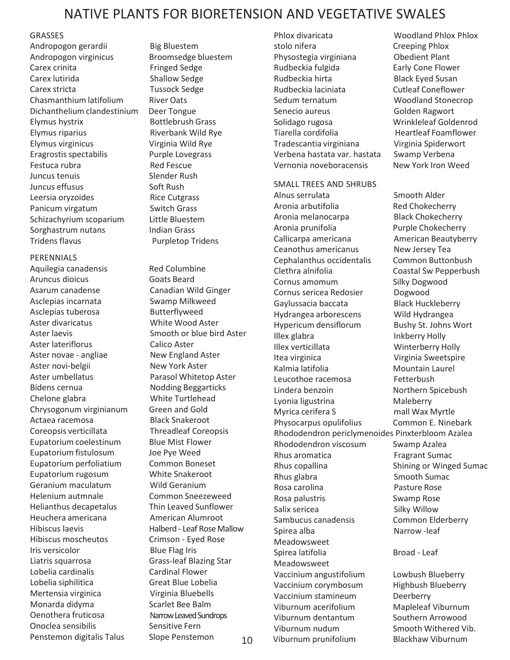# NATIVE PLANTS FOR BIORETENSION AND VEGETATIVE SWALES

### GRASSES

Andropogon gerardii Big Bluestem Andropogon virginicus Broomsedge bluestem Carex crinita Fringed Sedge Carex lutirida Shallow Sedge Carex stricta Tussock Sedge Chasmanthium latifolium River Oats Dichanthelium clandestinium Deer Tongue Elymus hystrix Bottlebrush Grass Elymus riparius **Riverbank Wild Rye** Elymus virginicus Virginia Wild Rye Eragrostisspectabilis Purple Lovegrass Festuca rubra and Red Fescue Juncus tenuis Slender Rush Juncus effusus Soft Rush Leersia oryzoides Rice Cutgrass Panicum virgatum Switch Grass Schizachyrium scoparium Little Bluestem Sorghastrum nutans Indian Grass Tridens flavus **Purpletop Tridens** 

PERENNIALS Aquilegia canadensis Red Columbine Aruncus dioicus Goats Beard Asarum canadense Canadian Wild Ginger Asclepias incarnata Swamp Milkweed Asclepias tuberosa Butterflyweed Aster divaricatus<br>
Aster laevis<br>
Aster laevis Aster lateriflorus Calico Aster Aster novae - angliae New England Aster Aster novi-belgii New York Aster Aster umbellatus Parasol Whitetop Aster Bidens cernua **Nodding Beggarticks** Chelone glabra White Turtlehead Chrysogonum virginianum Green and Gold Actaea racemosa Black Snakeroot Coreopsis verticillata Threadleaf Coreopsis Eupatorium coelestinum Blue Mist Flower Eupatorium fistulosum Joe Pye Weed Eupatorium perfoliatium Common Boneset Eupatorium rugosum White Snakeroot Geranium maculatum Wild Geranium Helenium autmnale Common Sneezeweed Helianthus decapetalus Thin Leaved Sunflower Heuchera americana American Alumroot Hibiscus laevis Halberd - Leaf Rose Mallow Hibiscus moscheutos Crimson - Eyed Rose Iris versicolor Blue Flag Iris Liatris squarrosa Grass-leaf Blazing Star Lobelia cardinalis Cardinal Flower Lobelia siphilitica Great Blue Lobelia Mertensia virginica Virginia Bluebells Monarda didyma<br>
Scarlet Bee Balm Oenothera fruticosa Narrow Leaved Sundrops Onoclea sensibilis Sensitive Fern

Smooth or blue bird Aster

Phlox divaricata Woodland Phlox Phlox stolo nifera Creeping Phlox Physostegia virginiana Obedient Plant Rudbeckia fulgida Early Cone Flower Rudbeckia hirta Black Eyed Susan Rudbeckia laciniata Cutleaf Coneflower Sedum ternatum Woodland Stonecrop Senecio aureus Golden Ragwort Solidago rugosa Wrinkleleaf Goldenrod Tiarella cordifolia entity and Heartleaf Foamflower Tradescantia virginiana Virginia Spiderwort Verbena hastata var. hastata Swamp Verbena Vernonia noveboracensis New York Iron Weed

SMALL TREES AND SHRUBS Alnus serrulata Smooth Alder Aronia arbutifolia Red Chokecherry Aronia melanocarpa<br>
Black Chokecherry Aronia prunifolia Purple Chokecherry Callicarpa americana American Beautyberry Ceanothus americanus New Jersey Tea Cephalanthus occidentalis Common Buttonbush Clethra alnifolia Coastal Sw Pepperbush Cornus amomum Silky Dogwood Cornus sericea Redosier Dogwood Gaylussacia baccata Black Huckleberry Hydrangea arborescens Wild Hydrangea Hypericum densiflorum Bushy St. Johns Wort Illex glabra **Inkberry Holly** Illex verticillata Winterberry Holly Itea virginica Virginia Sweetspire Kalmia latifolia **Mountain Laurel** Leucothoe racemosa Fetterbush Lindera benzoin **Northern** Spicebush Lyonia ligustrina Maleberry Myrica cerifera S mall Wax Myrtle Physocarpus opulifolius Common E. Ninebark Rhododendron periclymenoides Pinxterbloom Azalea Rhododendron viscosum Swamp Azalea Rhus aromatica Fragrant Sumac Rhus copallina Shining or Winged Sumac Rhus glabra Smooth Sumac Rosa carolina **Pasture Rose** Rosa palustris Swamp Rose Salix sericea Silky Willow Sambucus canadensis Common Elderberry Spirea alba Narrow -leaf Meadowsweet Spirea latifolia and Broad - Leaf Meadowsweet Vaccinium angustifolium Lowbush Blueberry Vaccinium corymbosum Highbush Blueberry Vaccinium stamineum Deerberry Viburnum acerifolium Mapleleaf Viburnum Viburnum dentantum Southern Arrowood Viburnum nudum Smooth Withered Vib. Penstemon digitalis Talus Slope Penstemon 10 Viburnum prunifolium Blackhaw Viburnum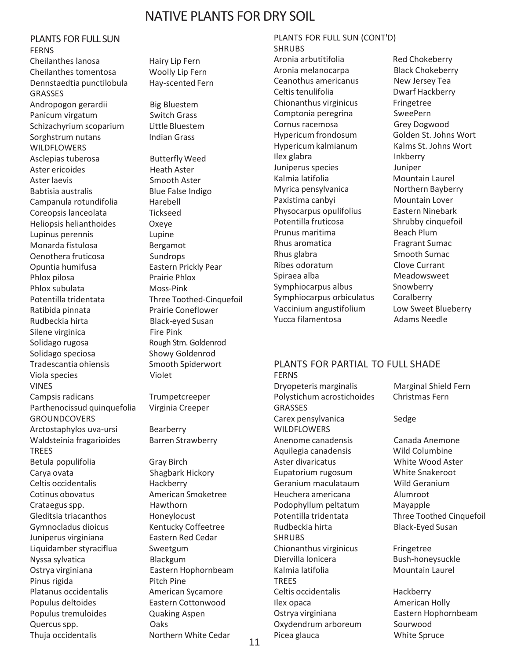## NATIVE PLANTS FOR DRY SOIL

PLANTS FOR FULL SUN FERNS Cheilanthes lanosa Hairy Lip Fern Cheilanthes tomentosa Woolly Lip Fern Dennstaedtia punctilobula Hay-scented Fern GRASSES Andropogon gerardii Big Bluestem Panicum virgatum Switch Grass Schizachyrium scoparium Little Bluestem Sorghstrum nutans **Indian Grass** WILDFLOWERS Asclepias tuberosa Butterfly Weed Aster ericoides **Heath Aster** Aster laevis **Smooth Aster** Babtisia australis Blue False Indigo Campanula rotundifolia Harebell Coreopsis lanceolata Tickseed Heliopsis helianthoides Oxeye Lupinus perennis Lupine Monarda fistulosa Bergamot Oenothera fruticosa Sundrops Opuntia humifusa Eastern Prickly Pear Phlox pilosa Prairie Phlox Phlox subulata Moss-Pink Potentilla tridentata Three Toothed-Cinquefoil Ratibida pinnata Prairie Coneflower Rudbeckia hirta Black-eyed Susan Silene virginica Fire Pink Solidago rugosa Rough Stm. Goldenrod Solidago speciosa Showy Goldenrod Tradescantia ohiensis Smooth Spiderwort Viola species Violet VINES Campsis radicans Trumpetcreeper Parthenocissud quinquefolia Virginia Creeper GROUNDCOVERS Arctostaphylos uva-ursi Bearberry Waldsteinia fragarioides Barren Strawberry TREES Betula populifolia Gray Birch Carya ovata Shagbark Hickory Celtis occidentalis hackberry Cotinus obovatus American Smoketree Crataegus spp. **Hawthorn** Gleditsia triacanthos **Honeylocust** Gymnocladus dioicus Kentucky Coffeetree Juniperus virginiana Eastern Red Cedar Liquidamber styraciflua Sweetgum Nyssa sylvatica Blackgum Ostrya virginiana Eastern Hophornbeam Pinus rigida Pitch Pine Platanus occidentalis **American Sycamore** Populus deltoides Eastern Cottonwood Populus tremuloides **Quaking Aspen** 

Quercusspp. Oaks Thuja occidentalis Northern White Cedar PLANTS FOR FULL SUN (CONT'D) SHRUBS Aronia arbutitifolia Red Chokeberry Aronia melanocarpa Black Chokeberry Ceanothus americanus Mew Jersey Tea Celtis tenulifolia Dwarf Hackberry Chionanthus virginicus Fringetree Comptonia peregrina SweePern Cornus racemosa Grey Dogwood Hypericum frondosum Golden St. Johns Wort Hypericum kalmianum Kalms St. Johns Wort Ilex glabra Inkberry Juniperus species Juniper Kalmia latifolia **Mountain Laurel** Myrica pensylvanica Morthern Bayberry Paxistima canbyi Mountain Lover Physocarpus opulifolius Eastern Ninebark Potentilla fruticosa Shrubby cinquefoil Prunus maritima Beach Plum Rhus aromatica Fragrant Sumac Rhus glabra Smooth Sumac Ribes odoratum Clove Currant Spiraea alba Meadowsweet Symphiocarpus albus Snowberry Symphiocarpus orbiculatus Coralberry Vaccinium angustifolium Low Sweet Blueberry Yucca filamentosa Adams Needle

#### PLANTS FOR PARTIAL TO FULL SHADE FERNS

Dryopeteris marginalis Marginal Shield Fern Polystichum acrostichoides Christmas Fern GRASSES Carex pensylvanica Sedge WILDFLOWERS Anenome canadensis Canada Anemone Aquilegia canadensis Wild Columbine Aster divaricatus White Wood Aster Eupatorium rugosum White Snakeroot Geranium maculataum Wild Geranium Heuchera americana Alumroot Podophyllum peltatum Mayapple Potentilla tridentata Three Toothed Cinquefoil Rudbeckia hirta Black-Eyed Susan **SHRUBS** Chionanthus virginicus Fringetree Diervilla lonicera Bush-honeysuckle Kalmia latifolia **Mountain Laurel TRFFS** Celtis occidentalis Hackberry Ilex opaca American Holly Ostrya virginiana Eastern Hophornbeam Oxydendrum arboreum Sourwood Picea glauca White Spruce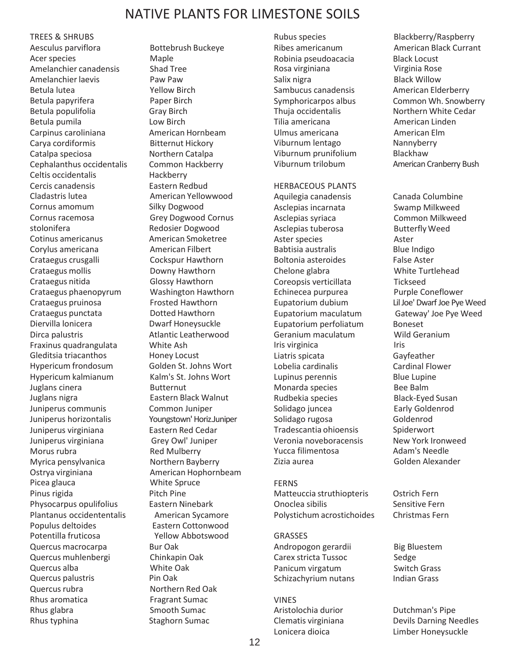## NATIVE PLANTS FOR LIMESTONE SOILS

TREES & SHRUBS Aesculus parviflora Bottebrush Buckeye Acer species Maple Amelanchier canadensis Shad Tree Amelanchier laevis **Paw Paw Paw** Betula lutea Yellow Birch Betula papyrifera Paper Birch Betula populifolia Gray Birch Betula pumila<br>
Low Birch Carpinus caroliniana **American Hornbeam** Carya cordiformis Bitternut Hickory Catalpa speciosa Northern Catalpa Cephalanthus occidentalis Common Hackberry Celtis occidentalis Hackberry Cercis canadensis Eastern Redbud Cladastris lutea **American Yellowwood** Cornus amomum Silky Dogwood Cornus racemosa Grey Dogwood Cornus stolonifera Redosier Dogwood Cotinus americanus American Smoketree Corylus americana **American Filbert** Crataegus crusgalli Cockspur Hawthorn Crataegus mollis Downy Hawthorn Crataegus nitida Glossy Hawthorn Crataegus phaenopyrum Washington Hawthorn Crataegus pruinosa Frosted Hawthorn Crataegus punctata **Dotted Hawthorn** Diervilla lonicera Dwarf Honeysuckle Dirca palustris and all and Atlantic Leatherwood Fraxinus quadrangulata White Ash Gleditsia triacanthos Honey Locust Hypericum frondosum Golden St. Johns Wort Hypericum kalmianum Kalm's St. Johns Wort Juglans cinera Butternut Juglans nigra Eastern Black Walnut Juniperus communis Common Juniper Juniperus horizontalis Youngstown'Horiz.Juniper Juniperus virginiana Eastern Red Cedar Juniperus virginiana Grey Owl' Juniper Morus rubra **Red Mulberry** Myrica pensylvanica Morthern Bayberry Ostrya virginiana **American Hophornbeam** Picea glauca White Spruce Pinus rigida Pitch Pine Physocarpus opulifolius Eastern Ninebark Plantanus occidententalis American Sycamore Populus deltoides Eastern Cottonwood<br>Potentilla fruticosa entry Yellow Abbotswood Potentilla fruticosa Quercus macrocarpa Bur Oak Quercus muhlenbergi Chinkapin Oak Quercus alba White Oak Quercus palustris Pin Oak Quercus rubra Northern Red Oak Rhus aromatica Fragrant Sumac Rhus glabra Smooth Sumac Rhus typhina Staghorn Sumac

Robinia pseudoacacia Black Locust Rosa virginiana Virginia Rose Salix nigra **Black Willow** Sambucus canadensis **American Elderberry** Tilia americana **American Linden** Ulmus americana **American Elm** Viburnum lentago Nannyberry Viburnum prunifolium Blackhaw

HERBACEOUS PLANTS Aquilegia canadensis Canada Columbine Asclepias incarnata Swamp Milkweed Asclepias syriaca Common Milkweed Asclepias tuberosa Butterfly Weed Aster species **Aster** Babtisia australis Blue Indigo Boltonia asteroides False Aster Chelone glabra White Turtlehead Coreopsis verticillata Tickseed Echinecea purpurea Purple Coneflower Eupatorium dubium LilJoe' Dwarf Joe Pye Weed Eupatorium maculatum Gateway' Joe Pye Weed Eupatorium perfoliatum Boneset Geranium maculatum Wild Geranium Iris virginica **Iris** Iris Liatris spicata Gayfeather Lobelia cardinalis Cardinal Flower Lupinus perennis Blue Lupine Monarda species Bee Balm Rudbekia species Black-Eyed Susan Solidago juncea **Early Goldenrod** Solidago rugosa Goldenrod Tradescantia ohioensis Spiderwort Veronia noveboracensis New York Ironweed Yucca filimentosa and Adam's Needle Zizia aurea Golden Alexander

## FERNS Matteuccia struthiopteris Ostrich Fern Onoclea sibilis Sensitive Fern Polystichum acrostichoides Christmas Fern

GRASSES Andropogon gerardii Big Bluestem Carex stricta Tussoc Sedge Panicum virgatum Switch Grass Schizachyrium nutans Indian Grass

VINES Aristolochia durior **Dutchman's Pipe** Lonicera dioica Limber Honeysuckle

Rubus species Blackberry/Raspberry Ribes americanum American Black Currant Symphoricarpos albus Common Wh. Snowberry Thuja occidentalis Northern White Cedar Viburnum trilobum American Cranberry Bush

Clematis virginiana Devils Darning Needles